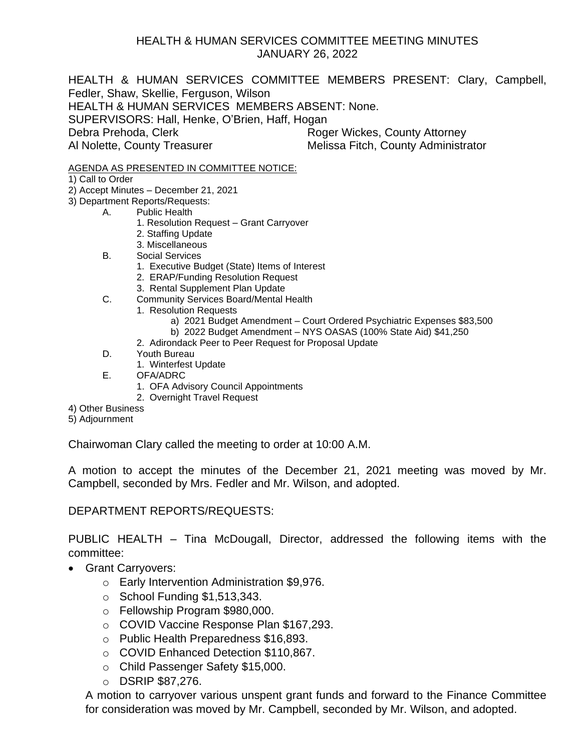## HEALTH & HUMAN SERVICES COMMITTEE MEETING MINUTES JANUARY 26, 2022

HEALTH & HUMAN SERVICES COMMITTEE MEMBERS PRESENT: Clary, Campbell, Fedler, Shaw, Skellie, Ferguson, Wilson HEALTH & HUMAN SERVICES MEMBERS ABSENT: None. SUPERVISORS: Hall, Henke, O'Brien, Haff, Hogan Debra Prehoda, Clerk **Roger Wickes, County Attorney** Al Nolette, County Treasurer Melissa Fitch, County Administrator

AGENDA AS PRESENTED IN COMMITTEE NOTICE:

1) Call to Order

- 2) Accept Minutes December 21, 2021
- 3) Department Reports/Requests:
	- A. Public Health
		- 1. Resolution Request Grant Carryover
		- 2. Staffing Update
		- 3. Miscellaneous
		- B. Social Services
			- 1. Executive Budget (State) Items of Interest
			- 2. ERAP/Funding Resolution Request
			- 3. Rental Supplement Plan Update
		- C. Community Services Board/Mental Health
			- 1. Resolution Requests
				- a) 2021 Budget Amendment Court Ordered Psychiatric Expenses \$83,500
				- b) 2022 Budget Amendment NYS OASAS (100% State Aid) \$41,250
			- 2. Adirondack Peer to Peer Request for Proposal Update
		- D. Youth Bureau
			- 1. Winterfest Update
		- E. OFA/ADRC
			- 1. OFA Advisory Council Appointments
			- 2. Overnight Travel Request
- 4) Other Business
- 5) Adjournment

Chairwoman Clary called the meeting to order at 10:00 A.M.

A motion to accept the minutes of the December 21, 2021 meeting was moved by Mr. Campbell, seconded by Mrs. Fedler and Mr. Wilson, and adopted.

DEPARTMENT REPORTS/REQUESTS:

PUBLIC HEALTH – Tina McDougall, Director, addressed the following items with the committee:

- Grant Carryovers:
	- o Early Intervention Administration \$9,976.
	- $\circ$  School Funding \$1,513,343.
	- o Fellowship Program \$980,000.
	- o COVID Vaccine Response Plan \$167,293.
	- o Public Health Preparedness \$16,893.
	- o COVID Enhanced Detection \$110,867.
	- o Child Passenger Safety \$15,000.
	- o DSRIP \$87,276.

A motion to carryover various unspent grant funds and forward to the Finance Committee for consideration was moved by Mr. Campbell, seconded by Mr. Wilson, and adopted.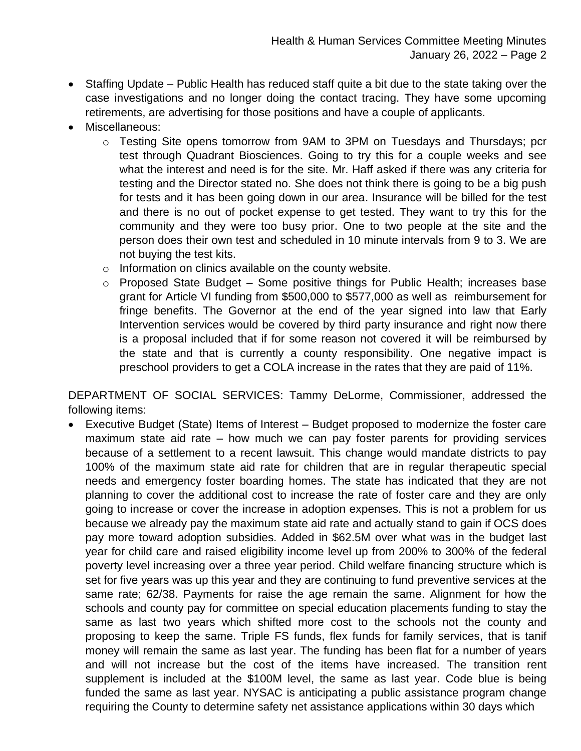- Staffing Update Public Health has reduced staff quite a bit due to the state taking over the case investigations and no longer doing the contact tracing. They have some upcoming retirements, are advertising for those positions and have a couple of applicants.
- Miscellaneous:
	- o Testing Site opens tomorrow from 9AM to 3PM on Tuesdays and Thursdays; pcr test through Quadrant Biosciences. Going to try this for a couple weeks and see what the interest and need is for the site. Mr. Haff asked if there was any criteria for testing and the Director stated no. She does not think there is going to be a big push for tests and it has been going down in our area. Insurance will be billed for the test and there is no out of pocket expense to get tested. They want to try this for the community and they were too busy prior. One to two people at the site and the person does their own test and scheduled in 10 minute intervals from 9 to 3. We are not buying the test kits.
	- o Information on clinics available on the county website.
	- o Proposed State Budget Some positive things for Public Health; increases base grant for Article VI funding from \$500,000 to \$577,000 as well as reimbursement for fringe benefits. The Governor at the end of the year signed into law that Early Intervention services would be covered by third party insurance and right now there is a proposal included that if for some reason not covered it will be reimbursed by the state and that is currently a county responsibility. One negative impact is preschool providers to get a COLA increase in the rates that they are paid of 11%.

DEPARTMENT OF SOCIAL SERVICES: Tammy DeLorme, Commissioner, addressed the following items:

• Executive Budget (State) Items of Interest – Budget proposed to modernize the foster care maximum state aid rate – how much we can pay foster parents for providing services because of a settlement to a recent lawsuit. This change would mandate districts to pay 100% of the maximum state aid rate for children that are in regular therapeutic special needs and emergency foster boarding homes. The state has indicated that they are not planning to cover the additional cost to increase the rate of foster care and they are only going to increase or cover the increase in adoption expenses. This is not a problem for us because we already pay the maximum state aid rate and actually stand to gain if OCS does pay more toward adoption subsidies. Added in \$62.5M over what was in the budget last year for child care and raised eligibility income level up from 200% to 300% of the federal poverty level increasing over a three year period. Child welfare financing structure which is set for five years was up this year and they are continuing to fund preventive services at the same rate; 62/38. Payments for raise the age remain the same. Alignment for how the schools and county pay for committee on special education placements funding to stay the same as last two years which shifted more cost to the schools not the county and proposing to keep the same. Triple FS funds, flex funds for family services, that is tanif money will remain the same as last year. The funding has been flat for a number of years and will not increase but the cost of the items have increased. The transition rent supplement is included at the \$100M level, the same as last year. Code blue is being funded the same as last year. NYSAC is anticipating a public assistance program change requiring the County to determine safety net assistance applications within 30 days which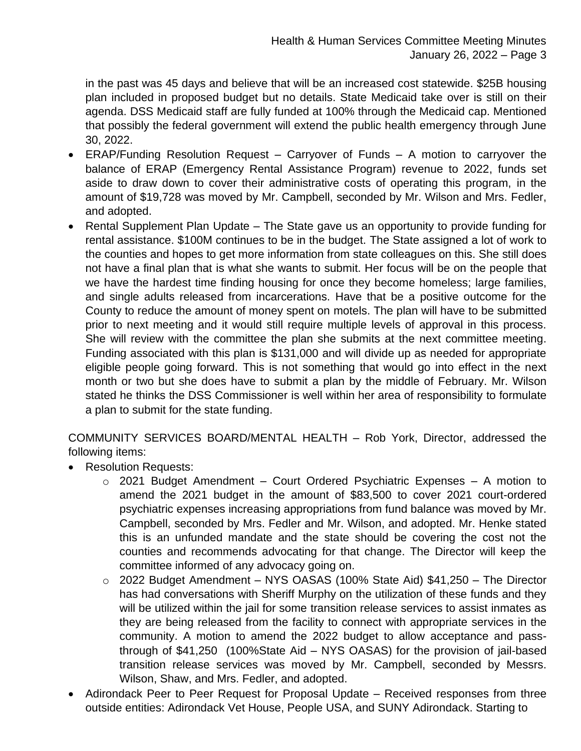in the past was 45 days and believe that will be an increased cost statewide. \$25B housing plan included in proposed budget but no details. State Medicaid take over is still on their agenda. DSS Medicaid staff are fully funded at 100% through the Medicaid cap. Mentioned that possibly the federal government will extend the public health emergency through June 30, 2022.

- ERAP/Funding Resolution Request Carryover of Funds A motion to carryover the balance of ERAP (Emergency Rental Assistance Program) revenue to 2022, funds set aside to draw down to cover their administrative costs of operating this program, in the amount of \$19,728 was moved by Mr. Campbell, seconded by Mr. Wilson and Mrs. Fedler, and adopted.
- Rental Supplement Plan Update The State gave us an opportunity to provide funding for rental assistance. \$100M continues to be in the budget. The State assigned a lot of work to the counties and hopes to get more information from state colleagues on this. She still does not have a final plan that is what she wants to submit. Her focus will be on the people that we have the hardest time finding housing for once they become homeless; large families, and single adults released from incarcerations. Have that be a positive outcome for the County to reduce the amount of money spent on motels. The plan will have to be submitted prior to next meeting and it would still require multiple levels of approval in this process. She will review with the committee the plan she submits at the next committee meeting. Funding associated with this plan is \$131,000 and will divide up as needed for appropriate eligible people going forward. This is not something that would go into effect in the next month or two but she does have to submit a plan by the middle of February. Mr. Wilson stated he thinks the DSS Commissioner is well within her area of responsibility to formulate a plan to submit for the state funding.

COMMUNITY SERVICES BOARD/MENTAL HEALTH – Rob York, Director, addressed the following items:

- Resolution Requests:
	- $\circ$  2021 Budget Amendment Court Ordered Psychiatric Expenses A motion to amend the 2021 budget in the amount of \$83,500 to cover 2021 court-ordered psychiatric expenses increasing appropriations from fund balance was moved by Mr. Campbell, seconded by Mrs. Fedler and Mr. Wilson, and adopted. Mr. Henke stated this is an unfunded mandate and the state should be covering the cost not the counties and recommends advocating for that change. The Director will keep the committee informed of any advocacy going on.
	- o 2022 Budget Amendment NYS OASAS (100% State Aid) \$41,250 The Director has had conversations with Sheriff Murphy on the utilization of these funds and they will be utilized within the jail for some transition release services to assist inmates as they are being released from the facility to connect with appropriate services in the community. A motion to amend the 2022 budget to allow acceptance and passthrough of \$41,250 (100%State Aid – NYS OASAS) for the provision of jail-based transition release services was moved by Mr. Campbell, seconded by Messrs. Wilson, Shaw, and Mrs. Fedler, and adopted.
- Adirondack Peer to Peer Request for Proposal Update Received responses from three outside entities: Adirondack Vet House, People USA, and SUNY Adirondack. Starting to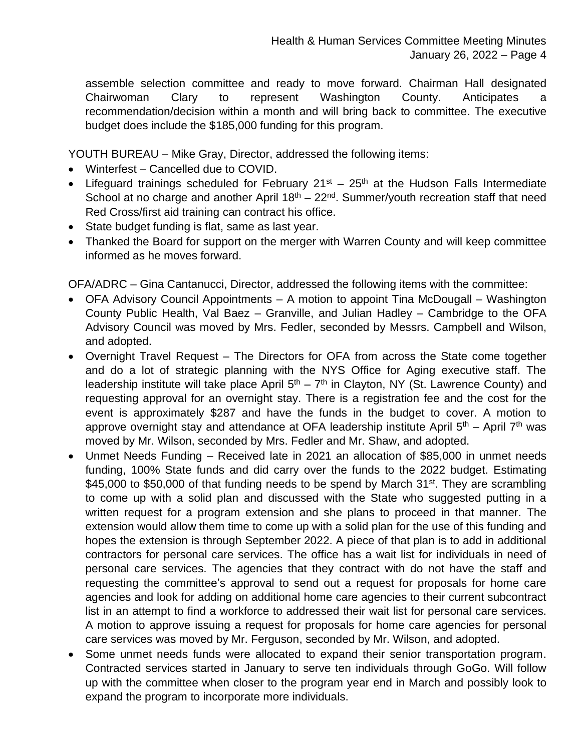assemble selection committee and ready to move forward. Chairman Hall designated Chairwoman Clary to represent Washington County. Anticipates a recommendation/decision within a month and will bring back to committee. The executive budget does include the \$185,000 funding for this program.

YOUTH BUREAU – Mike Gray, Director, addressed the following items:

- Winterfest Cancelled due to COVID.
- Lifeguard trainings scheduled for February  $21^{st} 25^{th}$  at the Hudson Falls Intermediate School at no charge and another April  $18<sup>th</sup> - 22<sup>nd</sup>$ . Summer/youth recreation staff that need Red Cross/first aid training can contract his office.
- State budget funding is flat, same as last year.
- Thanked the Board for support on the merger with Warren County and will keep committee informed as he moves forward.

OFA/ADRC – Gina Cantanucci, Director, addressed the following items with the committee:

- OFA Advisory Council Appointments A motion to appoint Tina McDougall Washington County Public Health, Val Baez – Granville, and Julian Hadley – Cambridge to the OFA Advisory Council was moved by Mrs. Fedler, seconded by Messrs. Campbell and Wilson, and adopted.
- Overnight Travel Request The Directors for OFA from across the State come together and do a lot of strategic planning with the NYS Office for Aging executive staff. The leadership institute will take place April  $5<sup>th</sup> - 7<sup>th</sup>$  in Clayton, NY (St. Lawrence County) and requesting approval for an overnight stay. There is a registration fee and the cost for the event is approximately \$287 and have the funds in the budget to cover. A motion to approve overnight stay and attendance at OFA leadership institute April 5<sup>th</sup> – April 7<sup>th</sup> was moved by Mr. Wilson, seconded by Mrs. Fedler and Mr. Shaw, and adopted.
- Unmet Needs Funding Received late in 2021 an allocation of \$85,000 in unmet needs funding, 100% State funds and did carry over the funds to the 2022 budget. Estimating \$45,000 to \$50,000 of that funding needs to be spend by March  $31<sup>st</sup>$ . They are scrambling to come up with a solid plan and discussed with the State who suggested putting in a written request for a program extension and she plans to proceed in that manner. The extension would allow them time to come up with a solid plan for the use of this funding and hopes the extension is through September 2022. A piece of that plan is to add in additional contractors for personal care services. The office has a wait list for individuals in need of personal care services. The agencies that they contract with do not have the staff and requesting the committee's approval to send out a request for proposals for home care agencies and look for adding on additional home care agencies to their current subcontract list in an attempt to find a workforce to addressed their wait list for personal care services. A motion to approve issuing a request for proposals for home care agencies for personal care services was moved by Mr. Ferguson, seconded by Mr. Wilson, and adopted.
- Some unmet needs funds were allocated to expand their senior transportation program. Contracted services started in January to serve ten individuals through GoGo. Will follow up with the committee when closer to the program year end in March and possibly look to expand the program to incorporate more individuals.